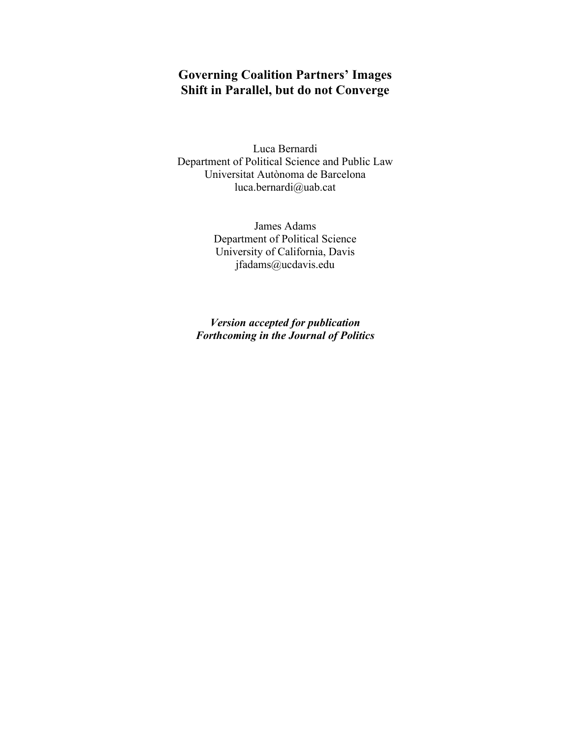# **Governing Coalition Partners' Images Shift in Parallel, but do not Converge**

Luca Bernardi Department of Political Science and Public Law Universitat Autònoma de Barcelona luca.bernardi@uab.cat

> James Adams Department of Political Science University of California, Davis jfadams@ucdavis.edu

*Version accepted for publication Forthcoming in the Journal of Politics*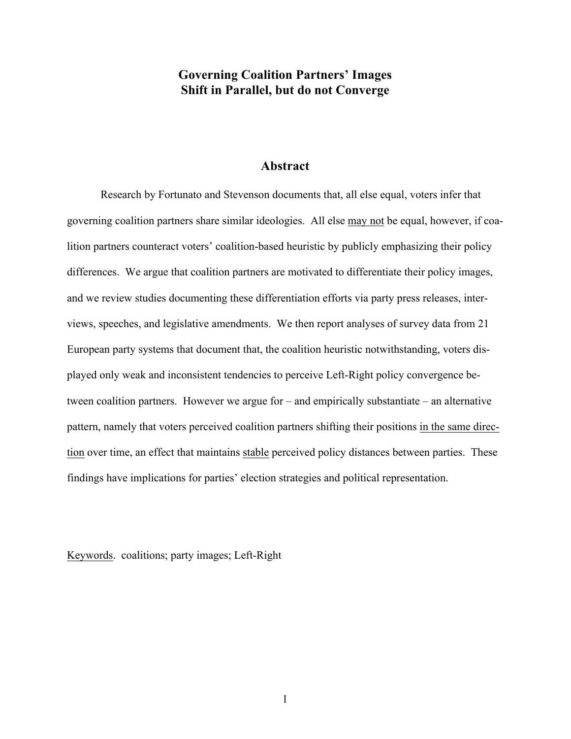### **Governing Coalition Partners' Images Shift in Parallel, but do not Converge**

#### **Abstract**

Research by Fortunato and Stevenson documents that, all else equal, voters infer that governing coalition partners share similar ideologies. All else may not be equal, however, if coalition partners counteract voters' coalition-based heuristic by publicly emphasizing their policy differences. We argue that coalition partners are motivated to differentiate their policy images, and we review studies documenting these differentiation efforts via party press releases, interviews, speeches, and legislative amendments. We then report analyses of survey data from 21 European party systems that document that, the coalition heuristic notwithstanding, voters displayed only weak and inconsistent tendencies to perceive Left-Right policy convergence between coalition partners. However we argue for – and empirically substantiate – an alternative pattern, namely that voters perceived coalition partners shifting their positions in the same direction over time, an effect that maintains stable perceived policy distances between parties. These findings have implications for parties' election strategies and political representation.

Keywords. coalitions; party images; Left-Right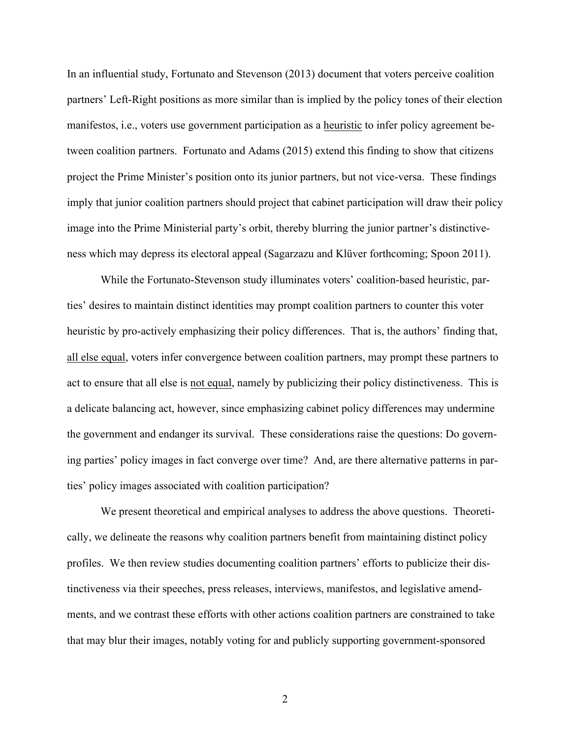In an influential study, Fortunato and Stevenson (2013) document that voters perceive coalition partners' Left-Right positions as more similar than is implied by the policy tones of their election manifestos, i.e., voters use government participation as a heuristic to infer policy agreement between coalition partners. Fortunato and Adams (2015) extend this finding to show that citizens project the Prime Minister's position onto its junior partners, but not vice-versa. These findings imply that junior coalition partners should project that cabinet participation will draw their policy image into the Prime Ministerial party's orbit, thereby blurring the junior partner's distinctiveness which may depress its electoral appeal (Sagarzazu and Klüver forthcoming; Spoon 2011).

While the Fortunato-Stevenson study illuminates voters' coalition-based heuristic, parties' desires to maintain distinct identities may prompt coalition partners to counter this voter heuristic by pro-actively emphasizing their policy differences. That is, the authors' finding that, all else equal, voters infer convergence between coalition partners, may prompt these partners to act to ensure that all else is not equal, namely by publicizing their policy distinctiveness. This is a delicate balancing act, however, since emphasizing cabinet policy differences may undermine the government and endanger its survival. These considerations raise the questions: Do governing parties' policy images in fact converge over time? And, are there alternative patterns in parties' policy images associated with coalition participation?

We present theoretical and empirical analyses to address the above questions. Theoretically, we delineate the reasons why coalition partners benefit from maintaining distinct policy profiles. We then review studies documenting coalition partners' efforts to publicize their distinctiveness via their speeches, press releases, interviews, manifestos, and legislative amendments, and we contrast these efforts with other actions coalition partners are constrained to take that may blur their images, notably voting for and publicly supporting government-sponsored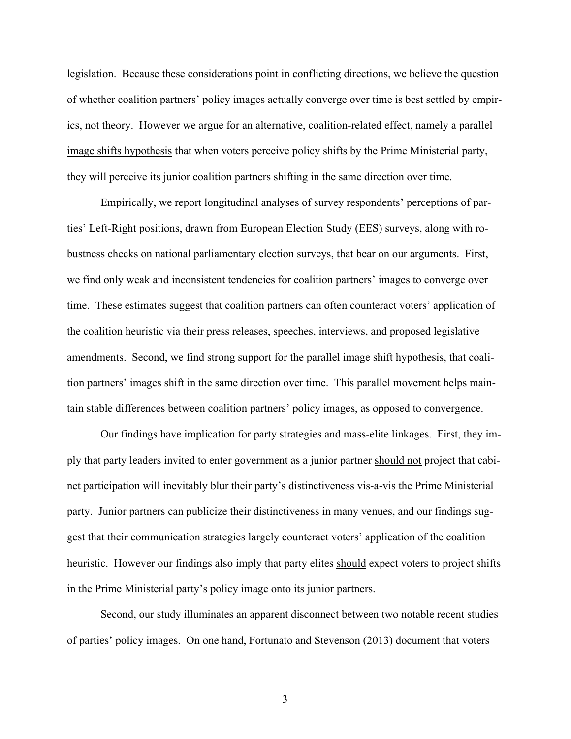legislation. Because these considerations point in conflicting directions, we believe the question of whether coalition partners' policy images actually converge over time is best settled by empirics, not theory. However we argue for an alternative, coalition-related effect, namely a parallel image shifts hypothesis that when voters perceive policy shifts by the Prime Ministerial party, they will perceive its junior coalition partners shifting in the same direction over time.

Empirically, we report longitudinal analyses of survey respondents' perceptions of parties' Left-Right positions, drawn from European Election Study (EES) surveys, along with robustness checks on national parliamentary election surveys, that bear on our arguments. First, we find only weak and inconsistent tendencies for coalition partners' images to converge over time. These estimates suggest that coalition partners can often counteract voters' application of the coalition heuristic via their press releases, speeches, interviews, and proposed legislative amendments. Second, we find strong support for the parallel image shift hypothesis, that coalition partners' images shift in the same direction over time. This parallel movement helps maintain stable differences between coalition partners' policy images, as opposed to convergence.

Our findings have implication for party strategies and mass-elite linkages. First, they imply that party leaders invited to enter government as a junior partner should not project that cabinet participation will inevitably blur their party's distinctiveness vis-a-vis the Prime Ministerial party. Junior partners can publicize their distinctiveness in many venues, and our findings suggest that their communication strategies largely counteract voters' application of the coalition heuristic. However our findings also imply that party elites should expect voters to project shifts in the Prime Ministerial party's policy image onto its junior partners.

Second, our study illuminates an apparent disconnect between two notable recent studies of parties' policy images. On one hand, Fortunato and Stevenson (2013) document that voters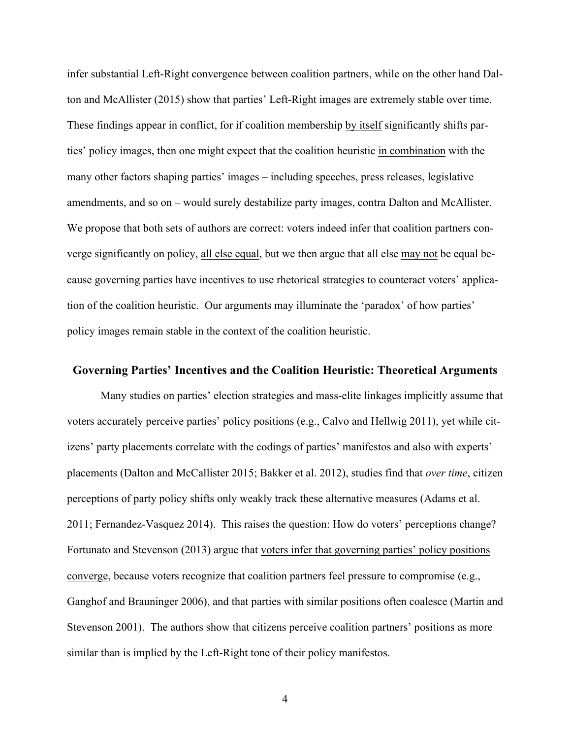infer substantial Left-Right convergence between coalition partners, while on the other hand Dalton and McAllister (2015) show that parties' Left-Right images are extremely stable over time. These findings appear in conflict, for if coalition membership by itself significantly shifts parties' policy images, then one might expect that the coalition heuristic in combination with the many other factors shaping parties' images – including speeches, press releases, legislative amendments, and so on – would surely destabilize party images, contra Dalton and McAllister. We propose that both sets of authors are correct: voters indeed infer that coalition partners converge significantly on policy, all else equal, but we then argue that all else may not be equal because governing parties have incentives to use rhetorical strategies to counteract voters' application of the coalition heuristic. Our arguments may illuminate the 'paradox' of how parties' policy images remain stable in the context of the coalition heuristic.

#### **Governing Parties' Incentives and the Coalition Heuristic: Theoretical Arguments**

Many studies on parties' election strategies and mass-elite linkages implicitly assume that voters accurately perceive parties' policy positions (e.g., Calvo and Hellwig 2011), yet while citizens' party placements correlate with the codings of parties' manifestos and also with experts' placements (Dalton and McCallister 2015; Bakker et al. 2012), studies find that *over time*, citizen perceptions of party policy shifts only weakly track these alternative measures (Adams et al. 2011; Fernandez-Vasquez 2014). This raises the question: How do voters' perceptions change? Fortunato and Stevenson (2013) argue that voters infer that governing parties' policy positions converge, because voters recognize that coalition partners feel pressure to compromise (e.g., Ganghof and Brauninger 2006), and that parties with similar positions often coalesce (Martin and Stevenson 2001). The authors show that citizens perceive coalition partners' positions as more similar than is implied by the Left-Right tone of their policy manifestos.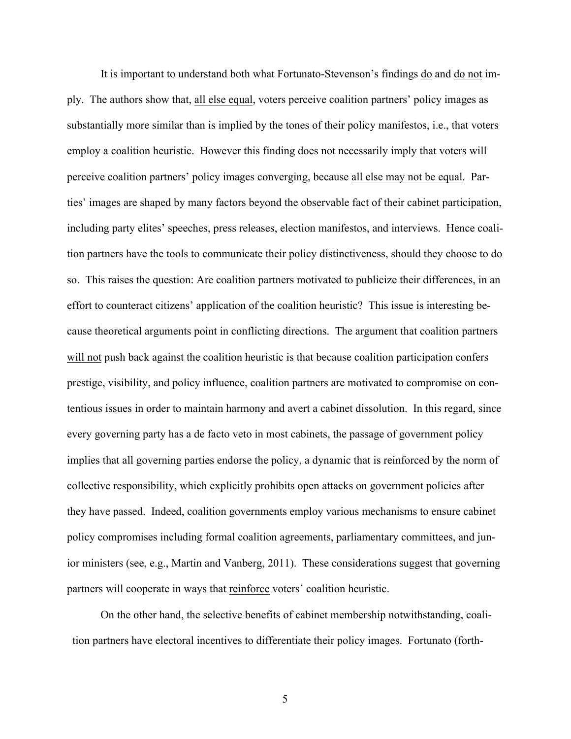It is important to understand both what Fortunato-Stevenson's findings do and do not imply. The authors show that, all else equal, voters perceive coalition partners' policy images as substantially more similar than is implied by the tones of their policy manifestos, i.e., that voters employ a coalition heuristic. However this finding does not necessarily imply that voters will perceive coalition partners' policy images converging, because all else may not be equal. Parties' images are shaped by many factors beyond the observable fact of their cabinet participation, including party elites' speeches, press releases, election manifestos, and interviews. Hence coalition partners have the tools to communicate their policy distinctiveness, should they choose to do so. This raises the question: Are coalition partners motivated to publicize their differences, in an effort to counteract citizens' application of the coalition heuristic? This issue is interesting because theoretical arguments point in conflicting directions. The argument that coalition partners will not push back against the coalition heuristic is that because coalition participation confers prestige, visibility, and policy influence, coalition partners are motivated to compromise on contentious issues in order to maintain harmony and avert a cabinet dissolution. In this regard, since every governing party has a de facto veto in most cabinets, the passage of government policy implies that all governing parties endorse the policy, a dynamic that is reinforced by the norm of collective responsibility, which explicitly prohibits open attacks on government policies after they have passed. Indeed, coalition governments employ various mechanisms to ensure cabinet policy compromises including formal coalition agreements, parliamentary committees, and junior ministers (see, e.g., Martin and Vanberg, 2011). These considerations suggest that governing partners will cooperate in ways that reinforce voters' coalition heuristic.

On the other hand, the selective benefits of cabinet membership notwithstanding, coalition partners have electoral incentives to differentiate their policy images. Fortunato (forth-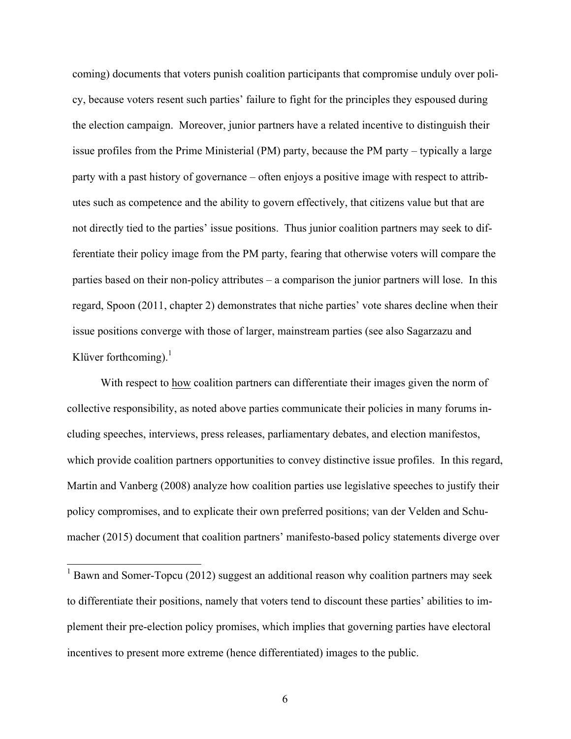coming) documents that voters punish coalition participants that compromise unduly over policy, because voters resent such parties' failure to fight for the principles they espoused during the election campaign. Moreover, junior partners have a related incentive to distinguish their issue profiles from the Prime Ministerial (PM) party, because the PM party – typically a large party with a past history of governance – often enjoys a positive image with respect to attributes such as competence and the ability to govern effectively, that citizens value but that are not directly tied to the parties' issue positions. Thus junior coalition partners may seek to differentiate their policy image from the PM party, fearing that otherwise voters will compare the parties based on their non-policy attributes – a comparison the junior partners will lose. In this regard, Spoon (2011, chapter 2) demonstrates that niche parties' vote shares decline when their issue positions converge with those of larger, mainstream parties (see also Sagarzazu and Klüver forthcoming). $<sup>1</sup>$ </sup>

With respect to how coalition partners can differentiate their images given the norm of collective responsibility, as noted above parties communicate their policies in many forums including speeches, interviews, press releases, parliamentary debates, and election manifestos, which provide coalition partners opportunities to convey distinctive issue profiles. In this regard, Martin and Vanberg (2008) analyze how coalition parties use legislative speeches to justify their policy compromises, and to explicate their own preferred positions; van der Velden and Schumacher (2015) document that coalition partners' manifesto-based policy statements diverge over

 $1$  Bawn and Somer-Topcu (2012) suggest an additional reason why coalition partners may seek to differentiate their positions, namely that voters tend to discount these parties' abilities to implement their pre-election policy promises, which implies that governing parties have electoral incentives to present more extreme (hence differentiated) images to the public.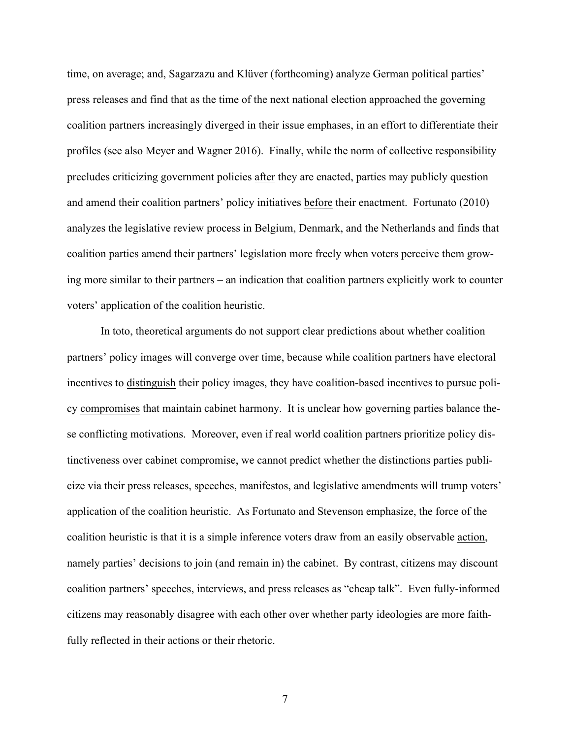time, on average; and, Sagarzazu and Klüver (forthcoming) analyze German political parties' press releases and find that as the time of the next national election approached the governing coalition partners increasingly diverged in their issue emphases, in an effort to differentiate their profiles (see also Meyer and Wagner 2016). Finally, while the norm of collective responsibility precludes criticizing government policies after they are enacted, parties may publicly question and amend their coalition partners' policy initiatives before their enactment. Fortunato (2010) analyzes the legislative review process in Belgium, Denmark, and the Netherlands and finds that coalition parties amend their partners' legislation more freely when voters perceive them growing more similar to their partners – an indication that coalition partners explicitly work to counter voters' application of the coalition heuristic.

In toto, theoretical arguments do not support clear predictions about whether coalition partners' policy images will converge over time, because while coalition partners have electoral incentives to distinguish their policy images, they have coalition-based incentives to pursue policy compromises that maintain cabinet harmony. It is unclear how governing parties balance these conflicting motivations. Moreover, even if real world coalition partners prioritize policy distinctiveness over cabinet compromise, we cannot predict whether the distinctions parties publicize via their press releases, speeches, manifestos, and legislative amendments will trump voters' application of the coalition heuristic. As Fortunato and Stevenson emphasize, the force of the coalition heuristic is that it is a simple inference voters draw from an easily observable action, namely parties' decisions to join (and remain in) the cabinet. By contrast, citizens may discount coalition partners' speeches, interviews, and press releases as "cheap talk". Even fully-informed citizens may reasonably disagree with each other over whether party ideologies are more faithfully reflected in their actions or their rhetoric.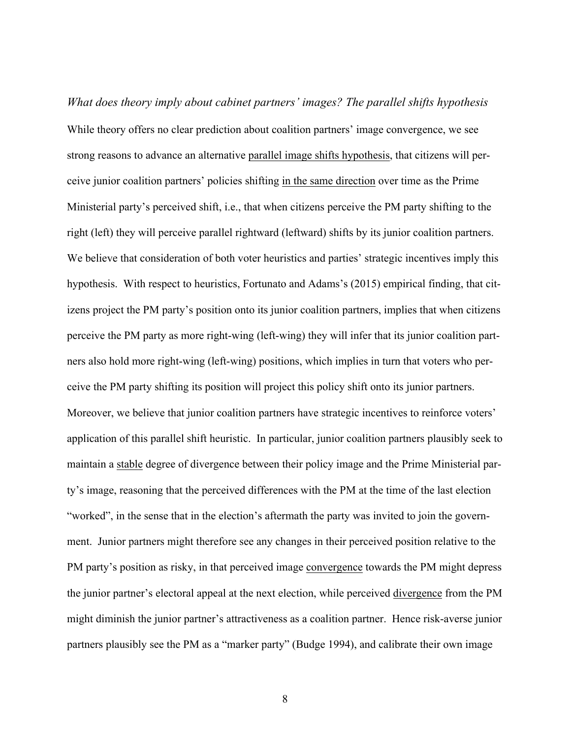*What does theory imply about cabinet partners' images? The parallel shifts hypothesis* While theory offers no clear prediction about coalition partners' image convergence, we see strong reasons to advance an alternative parallel image shifts hypothesis, that citizens will perceive junior coalition partners' policies shifting in the same direction over time as the Prime Ministerial party's perceived shift, i.e., that when citizens perceive the PM party shifting to the right (left) they will perceive parallel rightward (leftward) shifts by its junior coalition partners. We believe that consideration of both voter heuristics and parties' strategic incentives imply this hypothesis. With respect to heuristics, Fortunato and Adams's (2015) empirical finding, that citizens project the PM party's position onto its junior coalition partners, implies that when citizens perceive the PM party as more right-wing (left-wing) they will infer that its junior coalition partners also hold more right-wing (left-wing) positions, which implies in turn that voters who perceive the PM party shifting its position will project this policy shift onto its junior partners. Moreover, we believe that junior coalition partners have strategic incentives to reinforce voters' application of this parallel shift heuristic. In particular, junior coalition partners plausibly seek to maintain a stable degree of divergence between their policy image and the Prime Ministerial party's image, reasoning that the perceived differences with the PM at the time of the last election "worked", in the sense that in the election's aftermath the party was invited to join the government. Junior partners might therefore see any changes in their perceived position relative to the PM party's position as risky, in that perceived image convergence towards the PM might depress the junior partner's electoral appeal at the next election, while perceived divergence from the PM might diminish the junior partner's attractiveness as a coalition partner. Hence risk-averse junior partners plausibly see the PM as a "marker party" (Budge 1994), and calibrate their own image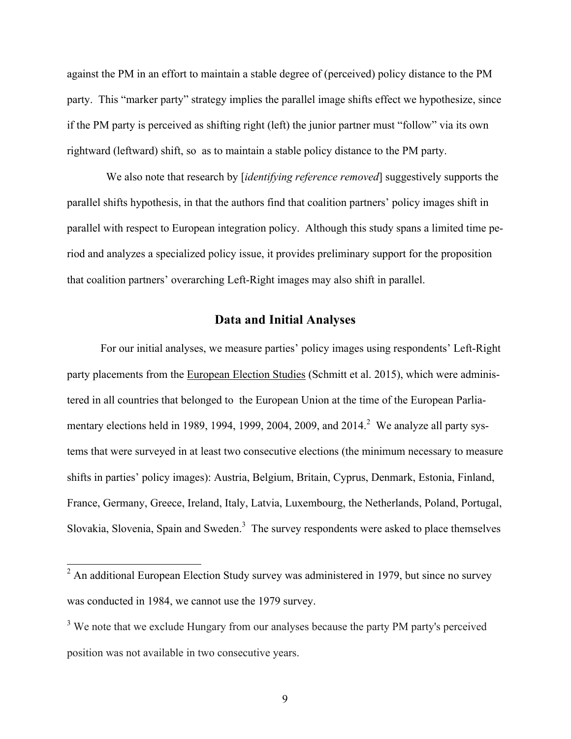against the PM in an effort to maintain a stable degree of (perceived) policy distance to the PM party. This "marker party" strategy implies the parallel image shifts effect we hypothesize, since if the PM party is perceived as shifting right (left) the junior partner must "follow" via its own rightward (leftward) shift, so as to maintain a stable policy distance to the PM party.

 We also note that research by [*identifying reference removed*] suggestively supports the parallel shifts hypothesis, in that the authors find that coalition partners' policy images shift in parallel with respect to European integration policy. Although this study spans a limited time period and analyzes a specialized policy issue, it provides preliminary support for the proposition that coalition partners' overarching Left-Right images may also shift in parallel.

### **Data and Initial Analyses**

For our initial analyses, we measure parties' policy images using respondents' Left-Right party placements from the European Election Studies (Schmitt et al. 2015), which were administered in all countries that belonged to the European Union at the time of the European Parliamentary elections held in 1989, 1994, 1999, 2004, 2009, and  $2014$ <sup>2</sup> We analyze all party systems that were surveyed in at least two consecutive elections (the minimum necessary to measure shifts in parties' policy images): Austria, Belgium, Britain, Cyprus, Denmark, Estonia, Finland, France, Germany, Greece, Ireland, Italy, Latvia, Luxembourg, the Netherlands, Poland, Portugal, Slovakia, Slovenia, Spain and Sweden.<sup>3</sup> The survey respondents were asked to place themselves

<sup>&</sup>lt;sup>2</sup> An additional European Election Study survey was administered in 1979, but since no survey was conducted in 1984, we cannot use the 1979 survey.

<sup>&</sup>lt;sup>3</sup> We note that we exclude Hungary from our analyses because the party PM party's perceived position was not available in two consecutive years.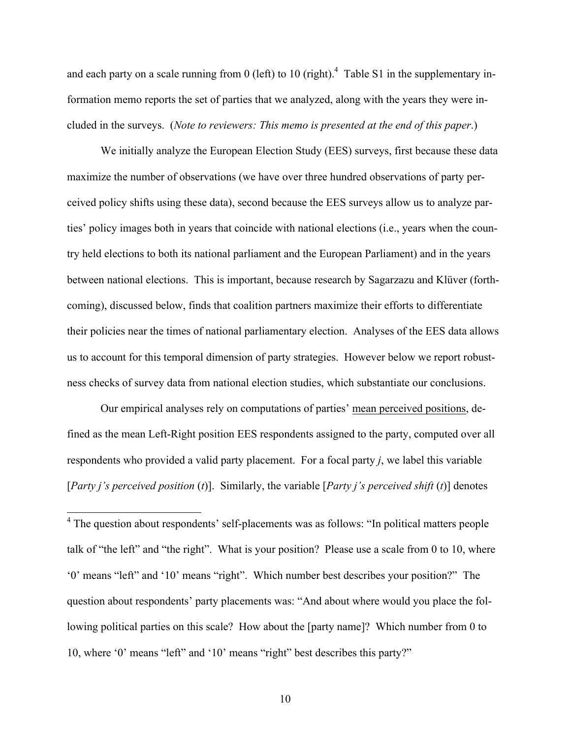and each party on a scale running from 0 (left) to 10 (right).<sup>4</sup> Table S1 in the supplementary information memo reports the set of parties that we analyzed, along with the years they were included in the surveys. (*Note to reviewers: This memo is presented at the end of this paper*.)

We initially analyze the European Election Study (EES) surveys, first because these data maximize the number of observations (we have over three hundred observations of party perceived policy shifts using these data), second because the EES surveys allow us to analyze parties' policy images both in years that coincide with national elections (i.e., years when the country held elections to both its national parliament and the European Parliament) and in the years between national elections. This is important, because research by Sagarzazu and Klüver (forthcoming), discussed below, finds that coalition partners maximize their efforts to differentiate their policies near the times of national parliamentary election. Analyses of the EES data allows us to account for this temporal dimension of party strategies. However below we report robustness checks of survey data from national election studies, which substantiate our conclusions.

Our empirical analyses rely on computations of parties' mean perceived positions, defined as the mean Left-Right position EES respondents assigned to the party, computed over all respondents who provided a valid party placement. For a focal party *j*, we label this variable [*Party j's perceived position* (*t*)]. Similarly, the variable [*Party j's perceived shift* (*t*)] denotes

<sup>&</sup>lt;sup>4</sup> The question about respondents' self-placements was as follows: "In political matters people talk of "the left" and "the right". What is your position? Please use a scale from 0 to 10, where '0' means "left" and '10' means "right". Which number best describes your position?" The question about respondents' party placements was: "And about where would you place the following political parties on this scale? How about the [party name]? Which number from 0 to 10, where '0' means "left" and '10' means "right" best describes this party?"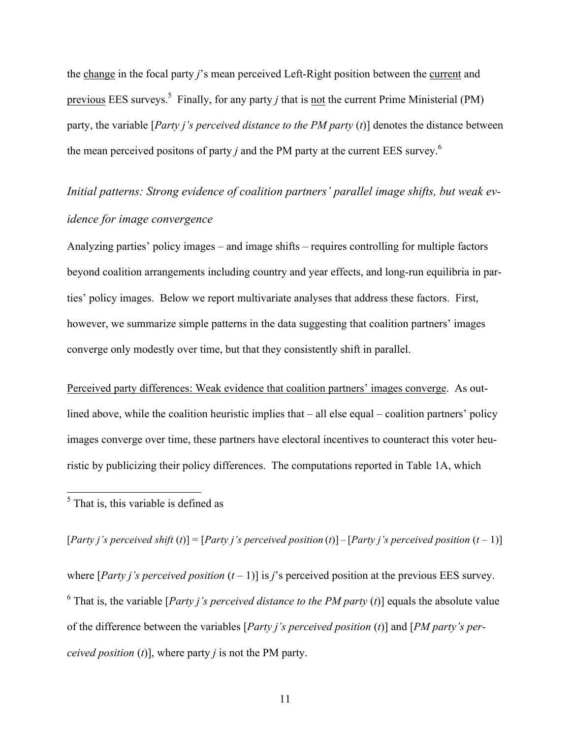the change in the focal party *j*'s mean perceived Left-Right position between the current and previous EES surveys.<sup>5</sup> Finally, for any party *j* that is not the current Prime Ministerial (PM) party, the variable [*Party j's perceived distance to the PM party* (*t*)] denotes the distance between the mean perceived positons of party  $j$  and the PM party at the current EES survey.<sup>6</sup>

# *Initial patterns: Strong evidence of coalition partners' parallel image shifts, but weak evidence for image convergence*

Analyzing parties' policy images – and image shifts – requires controlling for multiple factors beyond coalition arrangements including country and year effects, and long-run equilibria in parties' policy images. Below we report multivariate analyses that address these factors. First, however, we summarize simple patterns in the data suggesting that coalition partners' images converge only modestly over time, but that they consistently shift in parallel.

Perceived party differences: Weak evidence that coalition partners' images converge. As outlined above, while the coalition heuristic implies that – all else equal – coalition partners' policy images converge over time, these partners have electoral incentives to counteract this voter heuristic by publicizing their policy differences. The computations reported in Table 1A, which

5 That is, this variable is defined as

[*Party i's perceived shift* (*t*)] = [*Party i's perceived position* (*t*)] – [*Party i's perceived position*  $(t-1)$ ]

where [*Party i's perceived position*  $(t - 1)$ ] is *j's* perceived position at the previous EES survey. <sup>6</sup> That is, the variable [*Party i's perceived distance to the PM party (t)*] equals the absolute value of the difference between the variables [*Party j's perceived position* (*t*)] and [*PM party's perceived position* (*t*)], where party *j* is not the PM party.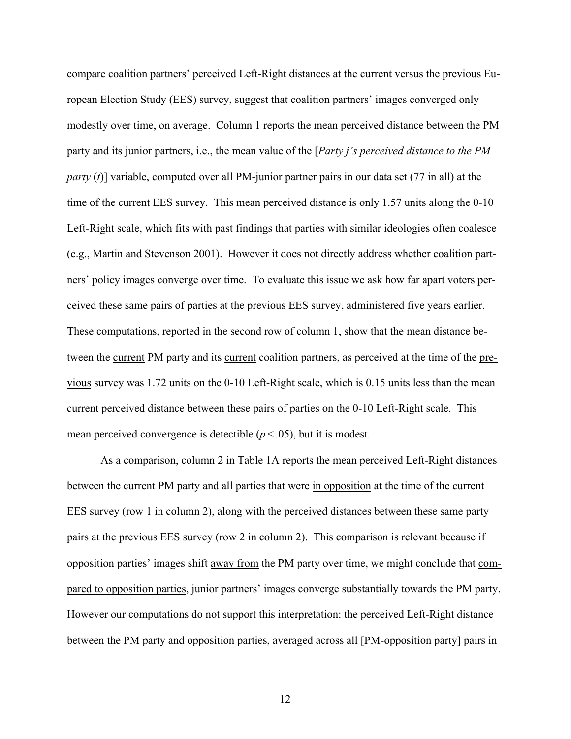compare coalition partners' perceived Left-Right distances at the current versus the previous European Election Study (EES) survey, suggest that coalition partners' images converged only modestly over time, on average. Column 1 reports the mean perceived distance between the PM party and its junior partners, i.e., the mean value of the [*Party j's perceived distance to the PM party* (*t*)] variable, computed over all PM-junior partner pairs in our data set (77 in all) at the time of the current EES survey. This mean perceived distance is only 1.57 units along the 0-10 Left-Right scale, which fits with past findings that parties with similar ideologies often coalesce (e.g., Martin and Stevenson 2001). However it does not directly address whether coalition partners' policy images converge over time. To evaluate this issue we ask how far apart voters perceived these same pairs of parties at the previous EES survey, administered five years earlier. These computations, reported in the second row of column 1, show that the mean distance between the current PM party and its current coalition partners, as perceived at the time of the previous survey was 1.72 units on the 0-10 Left-Right scale, which is 0.15 units less than the mean current perceived distance between these pairs of parties on the 0-10 Left-Right scale. This mean perceived convergence is detectible  $(p < .05)$ , but it is modest.

As a comparison, column 2 in Table 1A reports the mean perceived Left-Right distances between the current PM party and all parties that were in opposition at the time of the current EES survey (row 1 in column 2), along with the perceived distances between these same party pairs at the previous EES survey (row 2 in column 2). This comparison is relevant because if opposition parties' images shift away from the PM party over time, we might conclude that compared to opposition parties, junior partners' images converge substantially towards the PM party. However our computations do not support this interpretation: the perceived Left-Right distance between the PM party and opposition parties, averaged across all [PM-opposition party] pairs in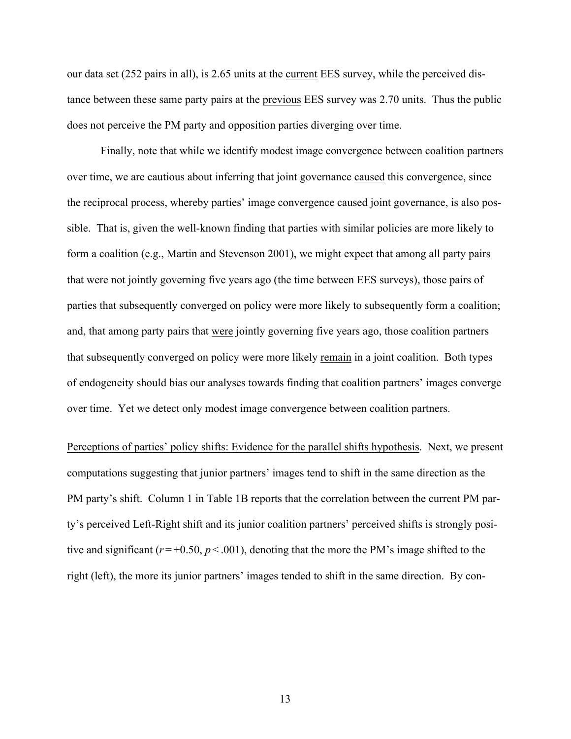our data set (252 pairs in all), is 2.65 units at the current EES survey, while the perceived distance between these same party pairs at the previous EES survey was 2.70 units. Thus the public does not perceive the PM party and opposition parties diverging over time.

 Finally, note that while we identify modest image convergence between coalition partners over time, we are cautious about inferring that joint governance caused this convergence, since the reciprocal process, whereby parties' image convergence caused joint governance, is also possible. That is, given the well-known finding that parties with similar policies are more likely to form a coalition (e.g., Martin and Stevenson 2001), we might expect that among all party pairs that were not jointly governing five years ago (the time between EES surveys), those pairs of parties that subsequently converged on policy were more likely to subsequently form a coalition; and, that among party pairs that were jointly governing five years ago, those coalition partners that subsequently converged on policy were more likely remain in a joint coalition. Both types of endogeneity should bias our analyses towards finding that coalition partners' images converge over time. Yet we detect only modest image convergence between coalition partners.

Perceptions of parties' policy shifts: Evidence for the parallel shifts hypothesis. Next, we present computations suggesting that junior partners' images tend to shift in the same direction as the PM party's shift. Column 1 in Table 1B reports that the correlation between the current PM party's perceived Left-Right shift and its junior coalition partners' perceived shifts is strongly positive and significant ( $r = +0.50$ ,  $p < .001$ ), denoting that the more the PM's image shifted to the right (left), the more its junior partners' images tended to shift in the same direction. By con-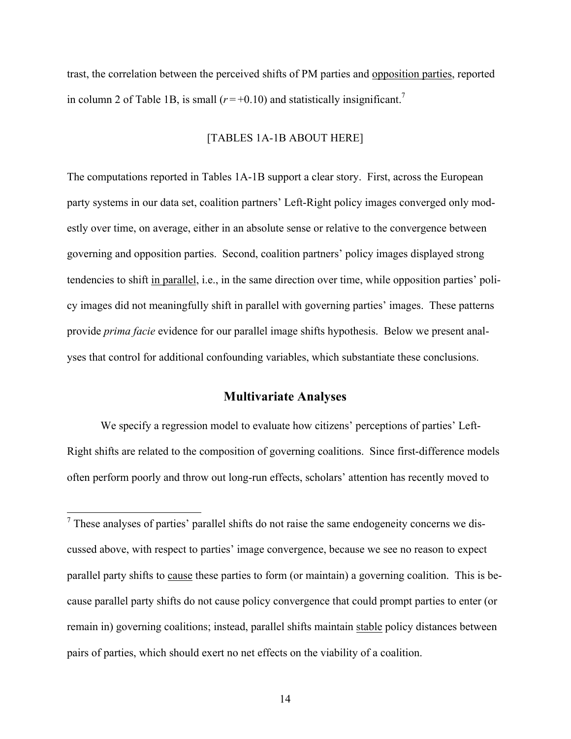trast, the correlation between the perceived shifts of PM parties and opposition parties, reported in column 2 of Table 1B, is small  $(r=+0.10)$  and statistically insignificant.<sup>7</sup>

#### [TABLES 1A-1B ABOUT HERE]

The computations reported in Tables 1A-1B support a clear story. First, across the European party systems in our data set, coalition partners' Left-Right policy images converged only modestly over time, on average, either in an absolute sense or relative to the convergence between governing and opposition parties. Second, coalition partners' policy images displayed strong tendencies to shift in parallel, i.e., in the same direction over time, while opposition parties' policy images did not meaningfully shift in parallel with governing parties' images. These patterns provide *prima facie* evidence for our parallel image shifts hypothesis. Below we present analyses that control for additional confounding variables, which substantiate these conclusions.

### **Multivariate Analyses**

We specify a regression model to evaluate how citizens' perceptions of parties' Left-Right shifts are related to the composition of governing coalitions. Since first-difference models often perform poorly and throw out long-run effects, scholars' attention has recently moved to

 $<sup>7</sup>$  These analyses of parties' parallel shifts do not raise the same endogeneity concerns we dis-</sup> cussed above, with respect to parties' image convergence, because we see no reason to expect parallel party shifts to cause these parties to form (or maintain) a governing coalition. This is because parallel party shifts do not cause policy convergence that could prompt parties to enter (or remain in) governing coalitions; instead, parallel shifts maintain stable policy distances between pairs of parties, which should exert no net effects on the viability of a coalition.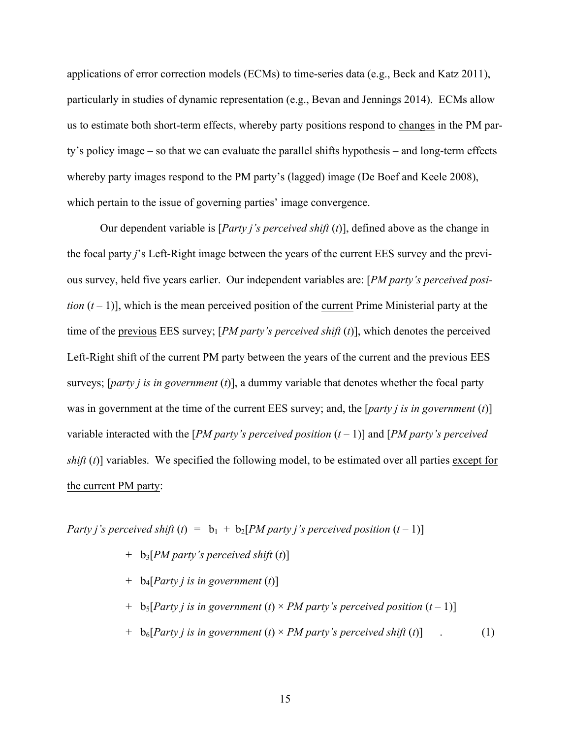applications of error correction models (ECMs) to time-series data (e.g., Beck and Katz 2011), particularly in studies of dynamic representation (e.g., Bevan and Jennings 2014). ECMs allow us to estimate both short-term effects, whereby party positions respond to changes in the PM party's policy image – so that we can evaluate the parallel shifts hypothesis – and long-term effects whereby party images respond to the PM party's (lagged) image (De Boef and Keele 2008), which pertain to the issue of governing parties' image convergence.

Our dependent variable is [*Party j's perceived shift* (*t*)], defined above as the change in the focal party *j*'s Left-Right image between the years of the current EES survey and the previous survey, held five years earlier. Our independent variables are: [*PM party's perceived position*  $(t-1)$ , which is the mean perceived position of the current Prime Ministerial party at the time of the previous EES survey; [*PM party's perceived shift* (*t*)], which denotes the perceived Left-Right shift of the current PM party between the years of the current and the previous EES surveys; [*party j is in government* (*t*)], a dummy variable that denotes whether the focal party was in government at the time of the current EES survey; and, the [*party j is in government* (*t*)] variable interacted with the [*PM party's perceived position*  $(t - 1)$ ] and [*PM party's perceived shift* (*t*)] variables. We specified the following model, to be estimated over all parties except for the current PM party:

*Party j's perceived shift* (*t*) =  $b_1 + b_2$ [*PM party j's perceived position* (*t* – 1)]

- + b3[*PM party's perceived shift* (*t*)]
- + b4[*Party j is in government* (*t*)]
- $+$  b<sub>5</sub>[*Party j is in government* (*t*) × *PM party's perceived position*  $(t-1)$ ]
- $+$  b<sub>6</sub>[*Party j is in government* (*t*)  $\times$  *PM party's perceived shift* (*t*)] . (1)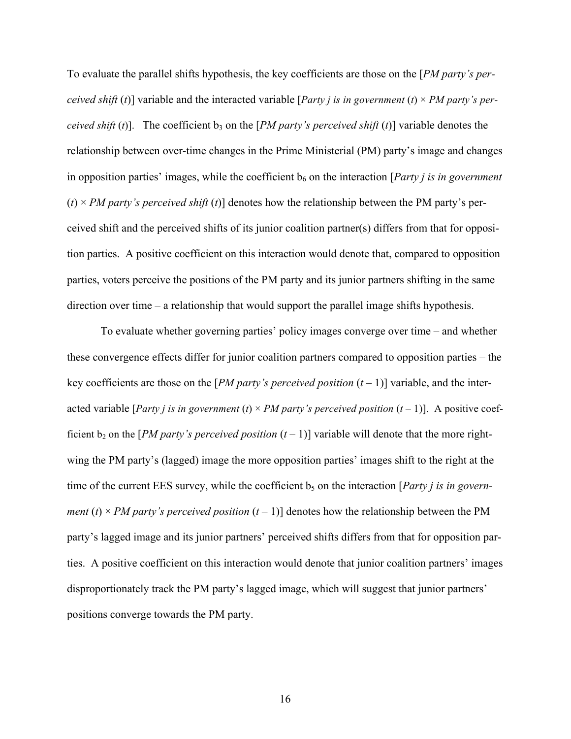To evaluate the parallel shifts hypothesis, the key coefficients are those on the [*PM party's perceived shift* (*t*)] variable and the interacted variable [*Party j is in government* (*t*) × *PM party's perceived shift* (*t*)]. The coefficient  $b_3$  on the [*PM party's perceived shift* (*t*)] variable denotes the relationship between over-time changes in the Prime Ministerial (PM) party's image and changes in opposition parties' images, while the coefficient  $b<sub>6</sub>$  on the interaction [*Party i is in government*  $(t) \times PM$  party's perceived shift (t)] denotes how the relationship between the PM party's perceived shift and the perceived shifts of its junior coalition partner(s) differs from that for opposition parties. A positive coefficient on this interaction would denote that, compared to opposition parties, voters perceive the positions of the PM party and its junior partners shifting in the same direction over time – a relationship that would support the parallel image shifts hypothesis.

To evaluate whether governing parties' policy images converge over time – and whether these convergence effects differ for junior coalition partners compared to opposition parties – the key coefficients are those on the [*PM party's perceived position*  $(t-1)$ ] variable, and the interacted variable [*Party j is in government* (*t*)  $\times$  *PM party's perceived position* (*t* – 1)]. A positive coefficient  $b_2$  on the [*PM party's perceived position*  $(t-1)$ ] variable will denote that the more rightwing the PM party's (lagged) image the more opposition parties' images shift to the right at the time of the current EES survey, while the coefficient b<sub>5</sub> on the interaction [*Party i is in government* (*t*)  $\times$  *PM party's perceived position* (*t* – 1)] denotes how the relationship between the PM party's lagged image and its junior partners' perceived shifts differs from that for opposition parties. A positive coefficient on this interaction would denote that junior coalition partners' images disproportionately track the PM party's lagged image, which will suggest that junior partners' positions converge towards the PM party.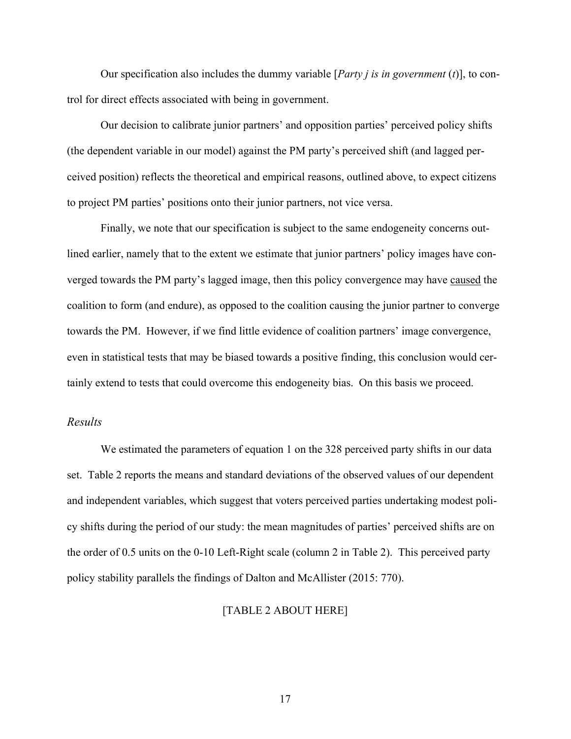Our specification also includes the dummy variable [*Party j is in government* (*t*)], to control for direct effects associated with being in government.

Our decision to calibrate junior partners' and opposition parties' perceived policy shifts (the dependent variable in our model) against the PM party's perceived shift (and lagged perceived position) reflects the theoretical and empirical reasons, outlined above, to expect citizens to project PM parties' positions onto their junior partners, not vice versa.

Finally, we note that our specification is subject to the same endogeneity concerns outlined earlier, namely that to the extent we estimate that junior partners' policy images have converged towards the PM party's lagged image, then this policy convergence may have caused the coalition to form (and endure), as opposed to the coalition causing the junior partner to converge towards the PM. However, if we find little evidence of coalition partners' image convergence, even in statistical tests that may be biased towards a positive finding, this conclusion would certainly extend to tests that could overcome this endogeneity bias. On this basis we proceed.

#### *Results*

We estimated the parameters of equation 1 on the 328 perceived party shifts in our data set. Table 2 reports the means and standard deviations of the observed values of our dependent and independent variables, which suggest that voters perceived parties undertaking modest policy shifts during the period of our study: the mean magnitudes of parties' perceived shifts are on the order of 0.5 units on the 0-10 Left-Right scale (column 2 in Table 2). This perceived party policy stability parallels the findings of Dalton and McAllister (2015: 770).

#### [TABLE 2 ABOUT HERE]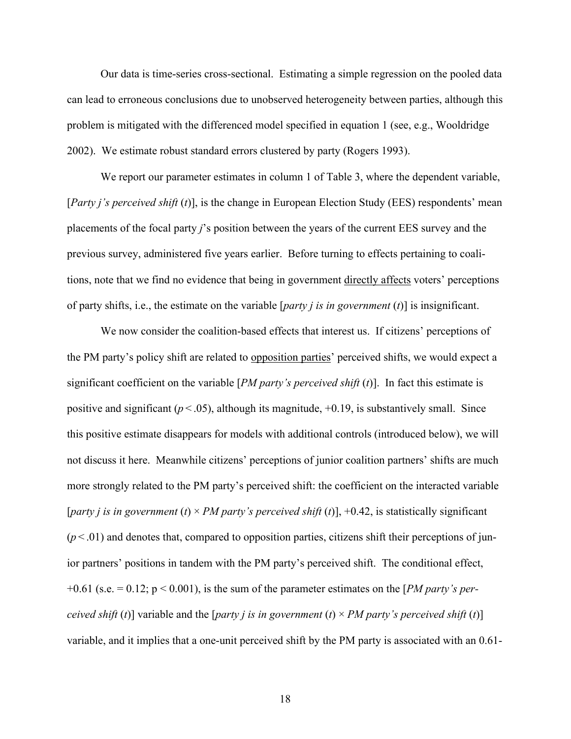Our data is time-series cross-sectional. Estimating a simple regression on the pooled data can lead to erroneous conclusions due to unobserved heterogeneity between parties, although this problem is mitigated with the differenced model specified in equation 1 (see, e.g., Wooldridge 2002). We estimate robust standard errors clustered by party (Rogers 1993).

We report our parameter estimates in column 1 of Table 3, where the dependent variable, [*Party j's perceived shift* (*t*)], is the change in European Election Study (EES) respondents' mean placements of the focal party *j*'s position between the years of the current EES survey and the previous survey, administered five years earlier. Before turning to effects pertaining to coalitions, note that we find no evidence that being in government directly affects voters' perceptions of party shifts, i.e., the estimate on the variable [*party j is in government* (*t*)] is insignificant.

We now consider the coalition-based effects that interest us. If citizens' perceptions of the PM party's policy shift are related to opposition parties' perceived shifts, we would expect a significant coefficient on the variable [*PM party's perceived shift* (*t*)]. In fact this estimate is positive and significant  $(p < .05)$ , although its magnitude,  $+0.19$ , is substantively small. Since this positive estimate disappears for models with additional controls (introduced below), we will not discuss it here. Meanwhile citizens' perceptions of junior coalition partners' shifts are much more strongly related to the PM party's perceived shift: the coefficient on the interacted variable [*party j is in government* (*t*)  $\times$  *PM party's perceived shift* (*t*)], +0.42, is statistically significant  $(p<.01)$  and denotes that, compared to opposition parties, citizens shift their perceptions of junior partners' positions in tandem with the PM party's perceived shift. The conditional effect, +0.61 (s.e. = 0.12; p < 0.001), is the sum of the parameter estimates on the [*PM party's perceived shift (t)*] variable and the [*party j is in government* (*t*)  $\times$  *PM party's perceived shift (t)*] variable, and it implies that a one-unit perceived shift by the PM party is associated with an 0.61-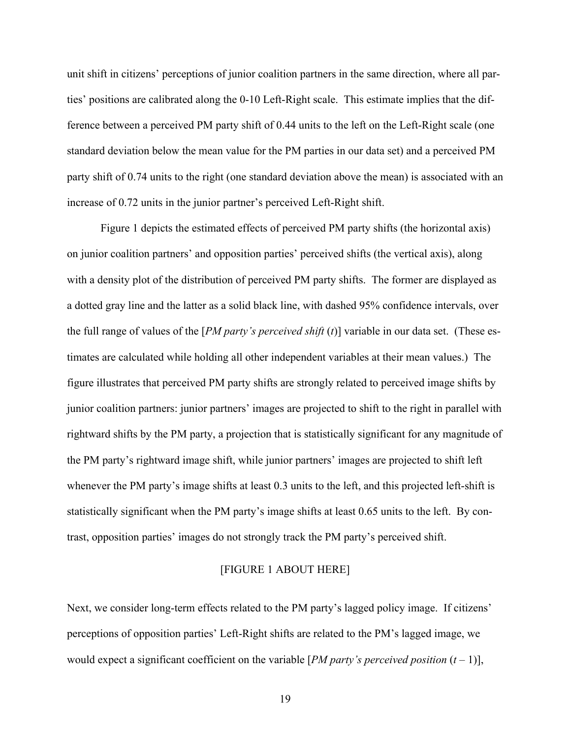unit shift in citizens' perceptions of junior coalition partners in the same direction, where all parties' positions are calibrated along the 0-10 Left-Right scale. This estimate implies that the difference between a perceived PM party shift of 0.44 units to the left on the Left-Right scale (one standard deviation below the mean value for the PM parties in our data set) and a perceived PM party shift of 0.74 units to the right (one standard deviation above the mean) is associated with an increase of 0.72 units in the junior partner's perceived Left-Right shift.

Figure 1 depicts the estimated effects of perceived PM party shifts (the horizontal axis) on junior coalition partners' and opposition parties' perceived shifts (the vertical axis), along with a density plot of the distribution of perceived PM party shifts. The former are displayed as a dotted gray line and the latter as a solid black line, with dashed 95% confidence intervals, over the full range of values of the [*PM party's perceived shift* (*t*)] variable in our data set. (These estimates are calculated while holding all other independent variables at their mean values.) The figure illustrates that perceived PM party shifts are strongly related to perceived image shifts by junior coalition partners: junior partners' images are projected to shift to the right in parallel with rightward shifts by the PM party, a projection that is statistically significant for any magnitude of the PM party's rightward image shift, while junior partners' images are projected to shift left whenever the PM party's image shifts at least 0.3 units to the left, and this projected left-shift is statistically significant when the PM party's image shifts at least 0.65 units to the left. By contrast, opposition parties' images do not strongly track the PM party's perceived shift.

#### [FIGURE 1 ABOUT HERE]

Next, we consider long-term effects related to the PM party's lagged policy image. If citizens' perceptions of opposition parties' Left-Right shifts are related to the PM's lagged image, we would expect a significant coefficient on the variable [*PM party's perceived position*  $(t - 1)$ ],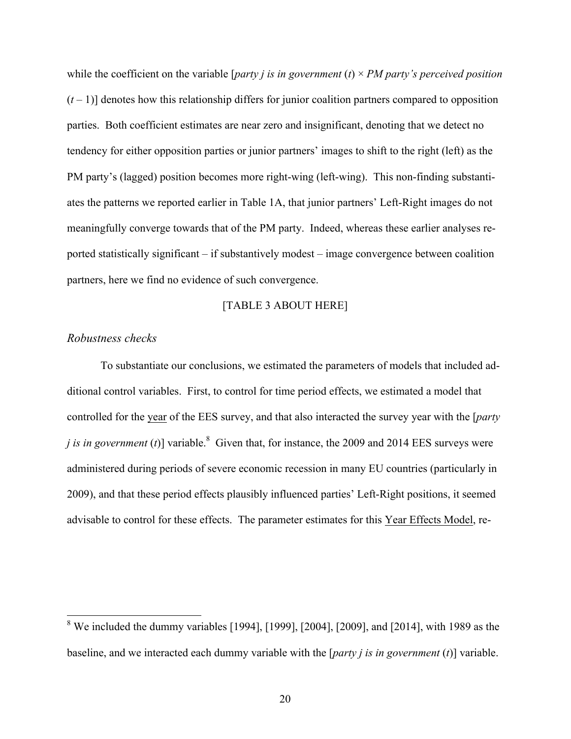while the coefficient on the variable [*party j is in government* (*t*)  $\times PM$  *party's perceived position*  $(t-1)$ ] denotes how this relationship differs for junior coalition partners compared to opposition parties. Both coefficient estimates are near zero and insignificant, denoting that we detect no tendency for either opposition parties or junior partners' images to shift to the right (left) as the PM party's (lagged) position becomes more right-wing (left-wing). This non-finding substantiates the patterns we reported earlier in Table 1A, that junior partners' Left-Right images do not meaningfully converge towards that of the PM party. Indeed, whereas these earlier analyses reported statistically significant – if substantively modest – image convergence between coalition partners, here we find no evidence of such convergence.

#### [TABLE 3 ABOUT HERE]

#### *Robustness checks*

To substantiate our conclusions, we estimated the parameters of models that included additional control variables. First, to control for time period effects, we estimated a model that controlled for the year of the EES survey, and that also interacted the survey year with the [*party j is in government* (*t*)] variable.<sup>8</sup> Given that, for instance, the 2009 and 2014 EES surveys were administered during periods of severe economic recession in many EU countries (particularly in 2009), and that these period effects plausibly influenced parties' Left-Right positions, it seemed advisable to control for these effects. The parameter estimates for this Year Effects Model, re-

<sup>&</sup>lt;sup>8</sup> We included the dummy variables [1994], [1999], [2004], [2009], and [2014], with 1989 as the baseline, and we interacted each dummy variable with the [*party j is in government* (*t*)] variable.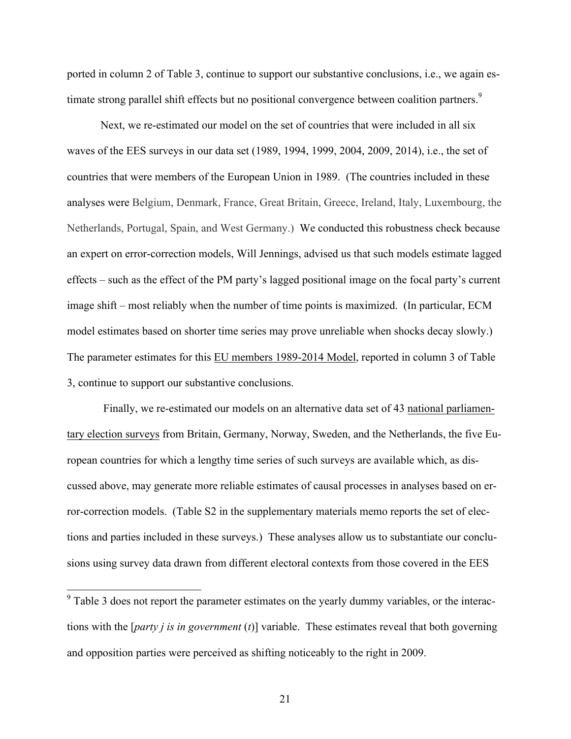ported in column 2 of Table 3, continue to support our substantive conclusions, i.e., we again estimate strong parallel shift effects but no positional convergence between coalition partners.<sup>9</sup>

Next, we re-estimated our model on the set of countries that were included in all six waves of the EES surveys in our data set (1989, 1994, 1999, 2004, 2009, 2014), i.e., the set of countries that were members of the European Union in 1989. (The countries included in these analyses were Belgium, Denmark, France, Great Britain, Greece, Ireland, Italy, Luxembourg, the Netherlands, Portugal, Spain, and West Germany.) We conducted this robustness check because an expert on error-correction models, Will Jennings, advised us that such models estimate lagged effects – such as the effect of the PM party's lagged positional image on the focal party's current image shift – most reliably when the number of time points is maximized. (In particular, ECM model estimates based on shorter time series may prove unreliable when shocks decay slowly.) The parameter estimates for this EU members 1989-2014 Model, reported in column 3 of Table 3, continue to support our substantive conclusions.

Finally, we re-estimated our models on an alternative data set of 43 national parliamentary election surveys from Britain, Germany, Norway, Sweden, and the Netherlands, the five European countries for which a lengthy time series of such surveys are available which, as discussed above, may generate more reliable estimates of causal processes in analyses based on error-correction models. (Table S2 in the supplementary materials memo reports the set of elections and parties included in these surveys.) These analyses allow us to substantiate our conclusions using survey data drawn from different electoral contexts from those covered in the EES

<sup>&</sup>lt;sup>9</sup> Table 3 does not report the parameter estimates on the yearly dummy variables, or the interactions with the [*party j is in government* (*t*)] variable. These estimates reveal that both governing and opposition parties were perceived as shifting noticeably to the right in 2009.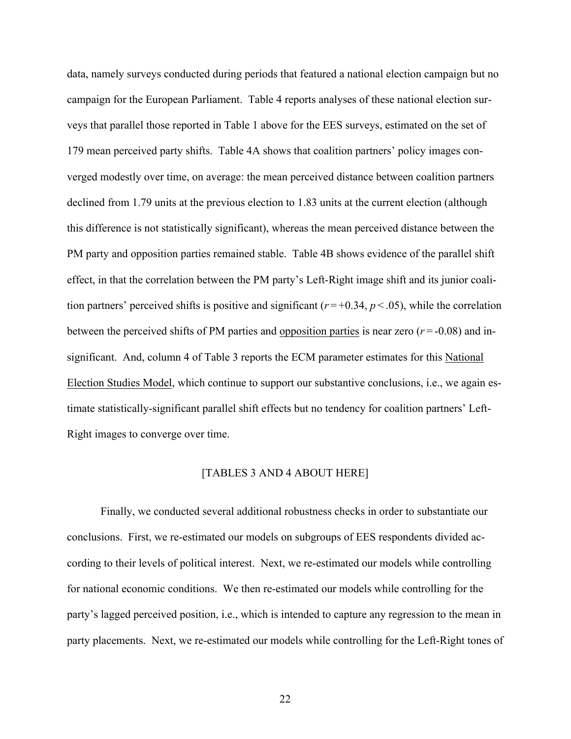data, namely surveys conducted during periods that featured a national election campaign but no campaign for the European Parliament. Table 4 reports analyses of these national election surveys that parallel those reported in Table 1 above for the EES surveys, estimated on the set of 179 mean perceived party shifts. Table 4A shows that coalition partners' policy images converged modestly over time, on average: the mean perceived distance between coalition partners declined from 1.79 units at the previous election to 1.83 units at the current election (although this difference is not statistically significant), whereas the mean perceived distance between the PM party and opposition parties remained stable. Table 4B shows evidence of the parallel shift effect, in that the correlation between the PM party's Left-Right image shift and its junior coalition partners' perceived shifts is positive and significant  $(r = +0.34, p < .05)$ , while the correlation between the perceived shifts of PM parties and opposition parties is near zero  $(r = -0.08)$  and insignificant. And, column 4 of Table 3 reports the ECM parameter estimates for this National Election Studies Model, which continue to support our substantive conclusions, i.e., we again estimate statistically-significant parallel shift effects but no tendency for coalition partners' Left-Right images to converge over time.

#### [TABLES 3 AND 4 ABOUT HERE]

Finally, we conducted several additional robustness checks in order to substantiate our conclusions. First, we re-estimated our models on subgroups of EES respondents divided according to their levels of political interest. Next, we re-estimated our models while controlling for national economic conditions. We then re-estimated our models while controlling for the party's lagged perceived position, i.e., which is intended to capture any regression to the mean in party placements. Next, we re-estimated our models while controlling for the Left-Right tones of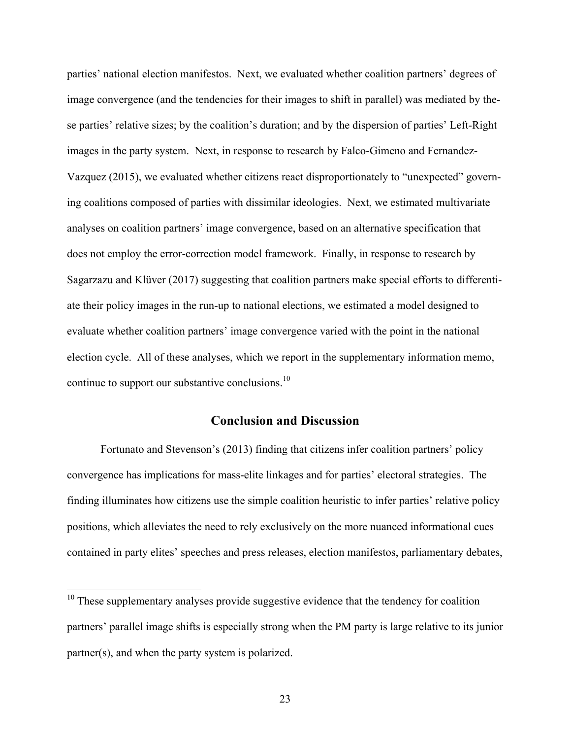parties' national election manifestos. Next, we evaluated whether coalition partners' degrees of image convergence (and the tendencies for their images to shift in parallel) was mediated by these parties' relative sizes; by the coalition's duration; and by the dispersion of parties' Left-Right images in the party system. Next, in response to research by Falco-Gimeno and Fernandez-Vazquez (2015), we evaluated whether citizens react disproportionately to "unexpected" governing coalitions composed of parties with dissimilar ideologies. Next, we estimated multivariate analyses on coalition partners' image convergence, based on an alternative specification that does not employ the error-correction model framework. Finally, in response to research by Sagarzazu and Klüver (2017) suggesting that coalition partners make special efforts to differentiate their policy images in the run-up to national elections, we estimated a model designed to evaluate whether coalition partners' image convergence varied with the point in the national election cycle. All of these analyses, which we report in the supplementary information memo, continue to support our substantive conclusions.<sup>10</sup>

### **Conclusion and Discussion**

Fortunato and Stevenson's (2013) finding that citizens infer coalition partners' policy convergence has implications for mass-elite linkages and for parties' electoral strategies. The finding illuminates how citizens use the simple coalition heuristic to infer parties' relative policy positions, which alleviates the need to rely exclusively on the more nuanced informational cues contained in party elites' speeches and press releases, election manifestos, parliamentary debates,

<sup>&</sup>lt;sup>10</sup> These supplementary analyses provide suggestive evidence that the tendency for coalition partners' parallel image shifts is especially strong when the PM party is large relative to its junior partner(s), and when the party system is polarized.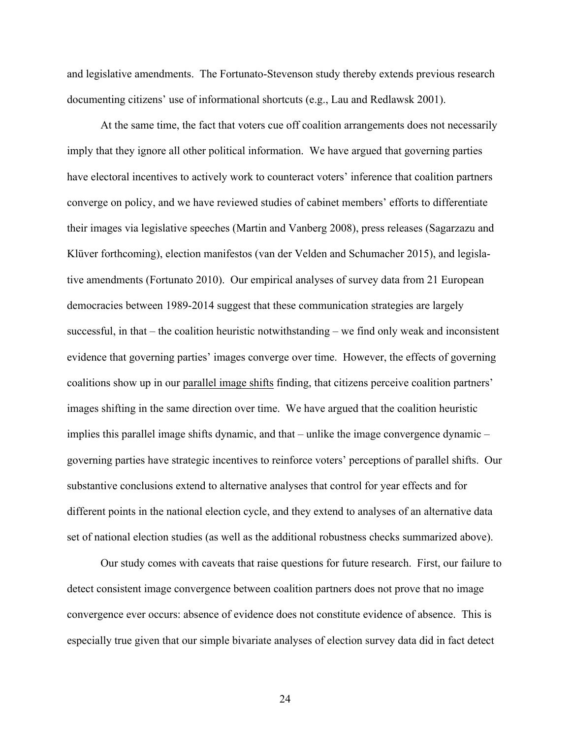and legislative amendments. The Fortunato-Stevenson study thereby extends previous research documenting citizens' use of informational shortcuts (e.g., Lau and Redlawsk 2001).

At the same time, the fact that voters cue off coalition arrangements does not necessarily imply that they ignore all other political information. We have argued that governing parties have electoral incentives to actively work to counteract voters' inference that coalition partners converge on policy, and we have reviewed studies of cabinet members' efforts to differentiate their images via legislative speeches (Martin and Vanberg 2008), press releases (Sagarzazu and Klüver forthcoming), election manifestos (van der Velden and Schumacher 2015), and legislative amendments (Fortunato 2010). Our empirical analyses of survey data from 21 European democracies between 1989-2014 suggest that these communication strategies are largely successful, in that – the coalition heuristic notwithstanding – we find only weak and inconsistent evidence that governing parties' images converge over time. However, the effects of governing coalitions show up in our parallel image shifts finding, that citizens perceive coalition partners' images shifting in the same direction over time. We have argued that the coalition heuristic implies this parallel image shifts dynamic, and that – unlike the image convergence dynamic – governing parties have strategic incentives to reinforce voters' perceptions of parallel shifts. Our substantive conclusions extend to alternative analyses that control for year effects and for different points in the national election cycle, and they extend to analyses of an alternative data set of national election studies (as well as the additional robustness checks summarized above).

Our study comes with caveats that raise questions for future research. First, our failure to detect consistent image convergence between coalition partners does not prove that no image convergence ever occurs: absence of evidence does not constitute evidence of absence. This is especially true given that our simple bivariate analyses of election survey data did in fact detect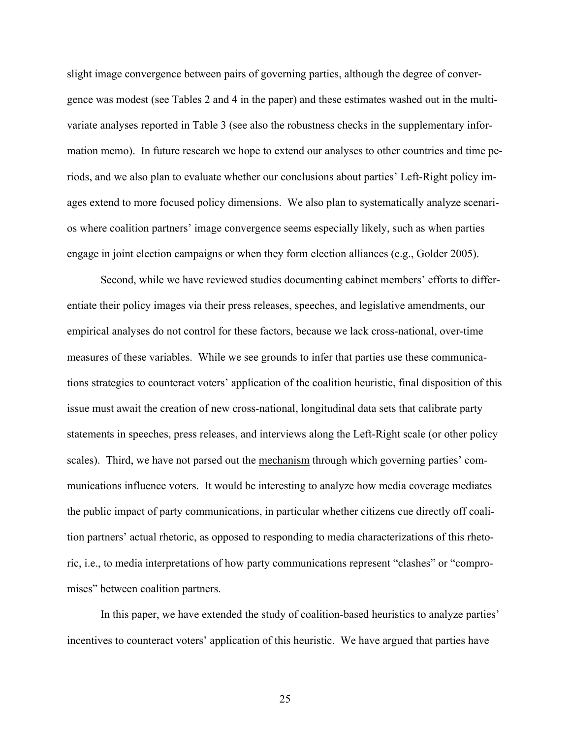slight image convergence between pairs of governing parties, although the degree of convergence was modest (see Tables 2 and 4 in the paper) and these estimates washed out in the multivariate analyses reported in Table 3 (see also the robustness checks in the supplementary information memo). In future research we hope to extend our analyses to other countries and time periods, and we also plan to evaluate whether our conclusions about parties' Left-Right policy images extend to more focused policy dimensions. We also plan to systematically analyze scenarios where coalition partners' image convergence seems especially likely, such as when parties engage in joint election campaigns or when they form election alliances (e.g., Golder 2005).

Second, while we have reviewed studies documenting cabinet members' efforts to differentiate their policy images via their press releases, speeches, and legislative amendments, our empirical analyses do not control for these factors, because we lack cross-national, over-time measures of these variables. While we see grounds to infer that parties use these communications strategies to counteract voters' application of the coalition heuristic, final disposition of this issue must await the creation of new cross-national, longitudinal data sets that calibrate party statements in speeches, press releases, and interviews along the Left-Right scale (or other policy scales). Third, we have not parsed out the mechanism through which governing parties' communications influence voters. It would be interesting to analyze how media coverage mediates the public impact of party communications, in particular whether citizens cue directly off coalition partners' actual rhetoric, as opposed to responding to media characterizations of this rhetoric, i.e., to media interpretations of how party communications represent "clashes" or "compromises" between coalition partners.

In this paper, we have extended the study of coalition-based heuristics to analyze parties' incentives to counteract voters' application of this heuristic. We have argued that parties have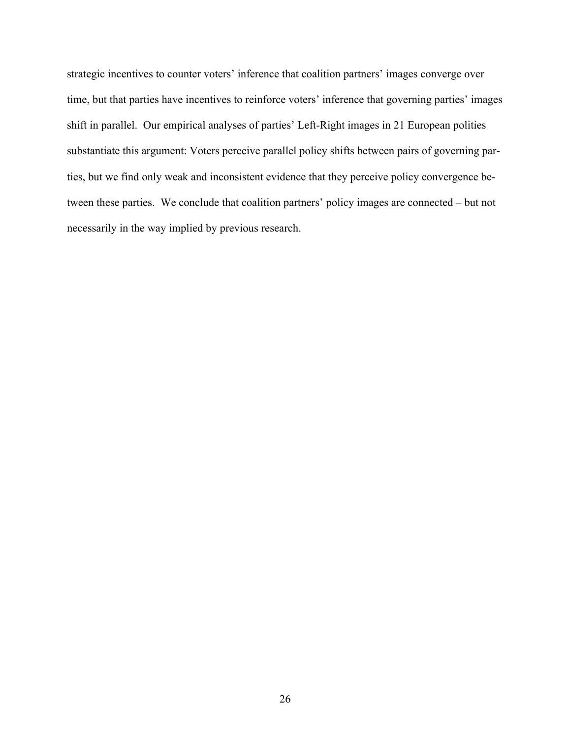strategic incentives to counter voters' inference that coalition partners' images converge over time, but that parties have incentives to reinforce voters' inference that governing parties' images shift in parallel. Our empirical analyses of parties' Left-Right images in 21 European polities substantiate this argument: Voters perceive parallel policy shifts between pairs of governing parties, but we find only weak and inconsistent evidence that they perceive policy convergence between these parties. We conclude that coalition partners' policy images are connected – but not necessarily in the way implied by previous research.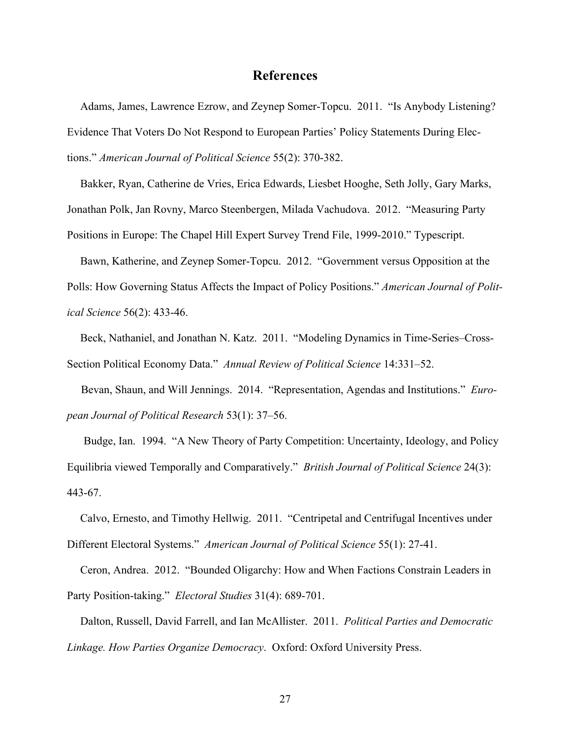#### **References**

Adams, James, Lawrence Ezrow, and Zeynep Somer-Topcu. 2011. "Is Anybody Listening? Evidence That Voters Do Not Respond to European Parties' Policy Statements During Elections." *American Journal of Political Science* 55(2): 370-382.

Bakker, Ryan, Catherine de Vries, Erica Edwards, Liesbet Hooghe, Seth Jolly, Gary Marks, Jonathan Polk, Jan Rovny, Marco Steenbergen, Milada Vachudova. 2012. "Measuring Party Positions in Europe: The Chapel Hill Expert Survey Trend File, 1999-2010." Typescript.

Bawn, Katherine, and Zeynep Somer-Topcu. 2012. "Government versus Opposition at the Polls: How Governing Status Affects the Impact of Policy Positions." *American Journal of Political Science* 56(2): 433-46.

Beck, Nathaniel, and Jonathan N. Katz. 2011. "Modeling Dynamics in Time-Series–Cross-Section Political Economy Data." *Annual Review of Political Science* 14:331–52.

 Bevan, Shaun, and Will Jennings. 2014. "Representation, Agendas and Institutions." *European Journal of Political Research* 53(1): 37–56.

Budge, Ian. 1994. "A New Theory of Party Competition: Uncertainty, Ideology, and Policy Equilibria viewed Temporally and Comparatively." *British Journal of Political Science* 24(3): 443-67.

Calvo, Ernesto, and Timothy Hellwig. 2011. "Centripetal and Centrifugal Incentives under Different Electoral Systems." *American Journal of Political Science* 55(1): 27-41.

Ceron, Andrea. 2012. "Bounded Oligarchy: How and When Factions Constrain Leaders in Party Position-taking." *Electoral Studies* 31(4): 689-701.

Dalton, Russell, David Farrell, and Ian McAllister. 2011. *Political Parties and Democratic Linkage. How Parties Organize Democracy*. Oxford: Oxford University Press.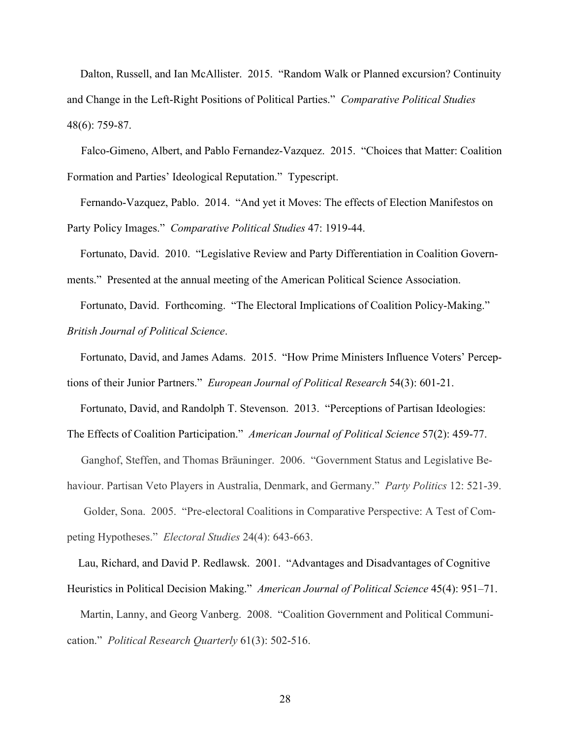Dalton, Russell, and Ian McAllister. 2015. "Random Walk or Planned excursion? Continuity and Change in the Left-Right Positions of Political Parties." *Comparative Political Studies*  48(6): 759-87.

 Falco-Gimeno, Albert, and Pablo Fernandez-Vazquez. 2015. "Choices that Matter: Coalition Formation and Parties' Ideological Reputation." Typescript.

Fernando-Vazquez, Pablo. 2014. "And yet it Moves: The effects of Election Manifestos on Party Policy Images." *Comparative Political Studies* 47: 1919-44.

Fortunato, David. 2010. "Legislative Review and Party Differentiation in Coalition Governments." Presented at the annual meeting of the American Political Science Association.

Fortunato, David. Forthcoming. "The Electoral Implications of Coalition Policy-Making." *British Journal of Political Science*.

Fortunato, David, and James Adams. 2015. "How Prime Ministers Influence Voters' Perceptions of their Junior Partners." *European Journal of Political Research* 54(3): 601-21.

Fortunato, David, and Randolph T. Stevenson. 2013. "Perceptions of Partisan Ideologies: The Effects of Coalition Participation." *American Journal of Political Science* 57(2): 459-77.

 Ganghof, Steffen, and Thomas Bräuninger. 2006. "Government Status and Legislative Behaviour. Partisan Veto Players in Australia, Denmark, and Germany." *Party Politics* 12: 521-39. Golder, Sona. 2005. "Pre-electoral Coalitions in Comparative Perspective: A Test of Com-

peting Hypotheses." *Electoral Studies* 24(4): 643-663.

 Lau, Richard, and David P. Redlawsk. 2001. "Advantages and Disadvantages of Cognitive Heuristics in Political Decision Making." *American Journal of Political Science* 45(4): 951–71.

Martin, Lanny, and Georg Vanberg. 2008. "Coalition Government and Political Communication." *Political Research Quarterly* 61(3): 502-516.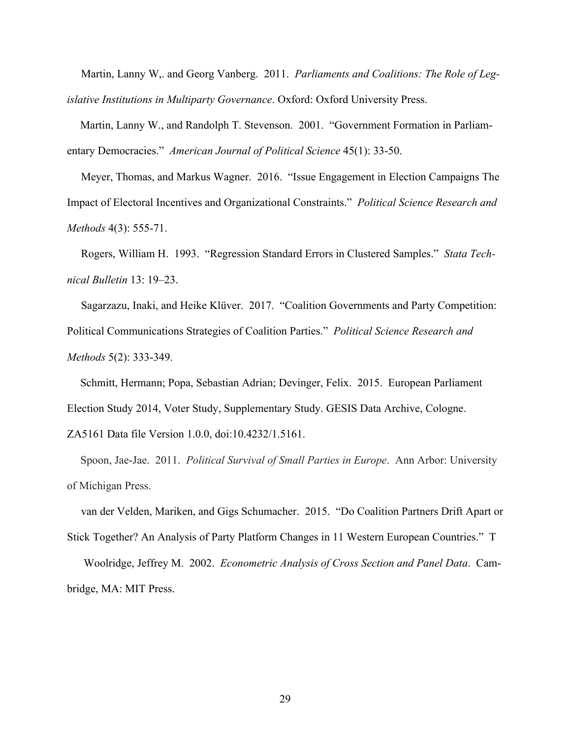Martin, Lanny W,. and Georg Vanberg. 2011. *Parliaments and Coalitions: The Role of Legislative Institutions in Multiparty Governance*. Oxford: Oxford University Press.

Martin, Lanny W., and Randolph T. Stevenson. 2001. "Government Formation in Parliamentary Democracies." *American Journal of Political Science* 45(1): 33-50.

 Meyer, Thomas, and Markus Wagner. 2016. "Issue Engagement in Election Campaigns The Impact of Electoral Incentives and Organizational Constraints." *Political Science Research and Methods* 4(3): 555-71.

 Rogers, William H. 1993. "Regression Standard Errors in Clustered Samples." *Stata Technical Bulletin* 13: 19–23.

 Sagarzazu, Inaki, and Heike Klüver. 2017. "Coalition Governments and Party Competition: Political Communications Strategies of Coalition Parties." *Political Science Research and Methods* 5(2): 333-349.

Schmitt, Hermann; Popa, Sebastian Adrian; Devinger, Felix. 2015. European Parliament Election Study 2014, Voter Study, Supplementary Study. GESIS Data Archive, Cologne. ZA5161 Data file Version 1.0.0, doi:10.4232/1.5161.

Spoon, Jae-Jae. 2011. *Political Survival of Small Parties in Europe*. Ann Arbor: University of Michigan Press.

 van der Velden, Mariken, and Gigs Schumacher. 2015. "Do Coalition Partners Drift Apart or Stick Together? An Analysis of Party Platform Changes in 11 Western European Countries." T Woolridge, Jeffrey M. 2002. *Econometric Analysis of Cross Section and Panel Data*. Cambridge, MA: MIT Press.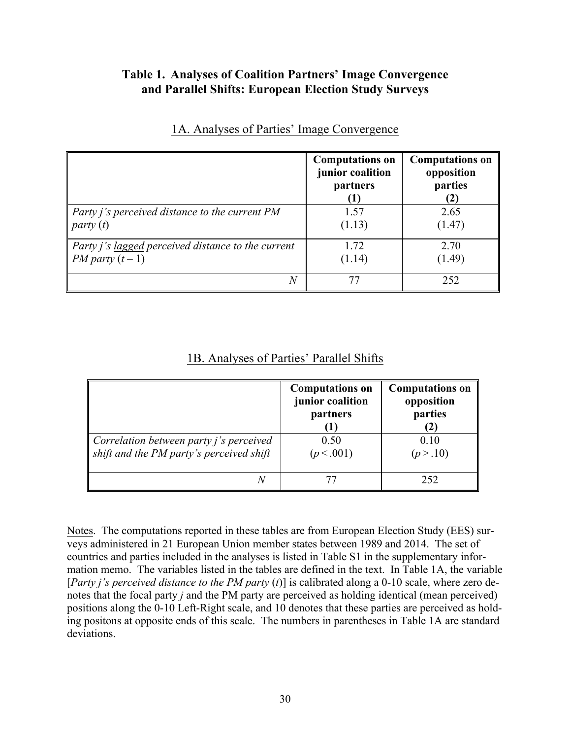### **Table 1. Analyses of Coalition Partners' Image Convergence and Parallel Shifts: European Election Study Surveys**

|                                                       | <b>Computations on</b><br>junior coalition<br>partners | <b>Computations on</b><br>opposition<br>parties<br>(2) |
|-------------------------------------------------------|--------------------------------------------------------|--------------------------------------------------------|
| Party <i>j's</i> perceived distance to the current PM | 1.57                                                   | 2.65                                                   |
| party(t)                                              | (1.13)                                                 | (1.47)                                                 |
| Party j's lagged perceived distance to the current    | 1.72                                                   | 2.70                                                   |
| <i>PM party</i> $(t-1)$                               | (1.14)                                                 | (1.49)                                                 |
| N                                                     | 77                                                     | 252                                                    |

### 1A. Analyses of Parties' Image Convergence

### 1B. Analyses of Parties' Parallel Shifts

|                                                                                            | <b>Computations on</b><br>junior coalition<br>partners | <b>Computations on</b><br>opposition<br>parties<br>$\mathbf{2})$ |
|--------------------------------------------------------------------------------------------|--------------------------------------------------------|------------------------------------------------------------------|
| Correlation between party <i>j's</i> perceived<br>shift and the PM party's perceived shift | 0.50<br>(p < .001)                                     | 0.10<br>(p > .10)                                                |
|                                                                                            |                                                        | 252                                                              |

Notes. The computations reported in these tables are from European Election Study (EES) surveys administered in 21 European Union member states between 1989 and 2014. The set of countries and parties included in the analyses is listed in Table S1 in the supplementary information memo. The variables listed in the tables are defined in the text. In Table 1A, the variable [*Party i's perceived distance to the PM party (t)*] is calibrated along a 0-10 scale, where zero denotes that the focal party *j* and the PM party are perceived as holding identical (mean perceived) positions along the 0-10 Left-Right scale, and 10 denotes that these parties are perceived as holding positons at opposite ends of this scale. The numbers in parentheses in Table 1A are standard deviations.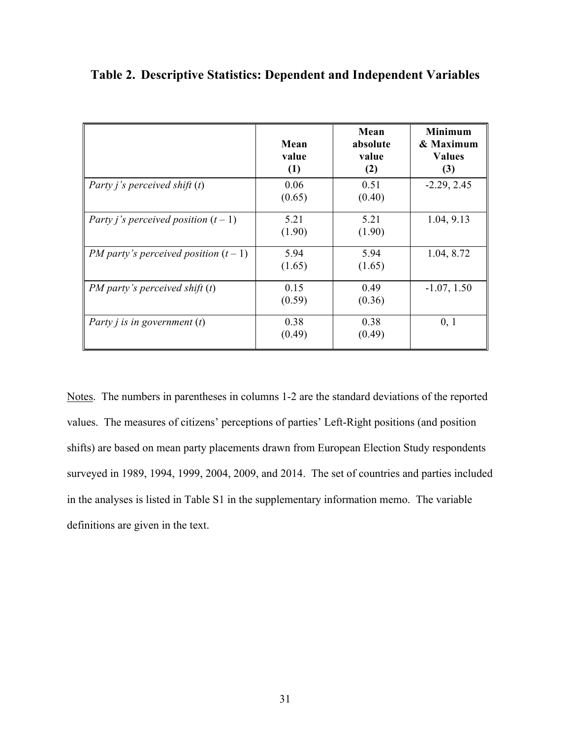|                                              | Mean<br>value<br>(1) | Mean<br>absolute<br>value<br>(2) | <b>Minimum</b><br>& Maximum<br><b>Values</b><br>(3) |
|----------------------------------------------|----------------------|----------------------------------|-----------------------------------------------------|
| Party <i>j's</i> perceived shift $(t)$       | 0.06<br>(0.65)       | 0.51<br>(0.40)                   | $-2.29, 2.45$                                       |
| Party <i>j's</i> perceived position $(t-1)$  | 5.21<br>(1.90)       | 5.21<br>(1.90)                   | 1.04, 9.13                                          |
| <i>PM party's perceived position</i> $(t-1)$ | 5.94<br>(1.65)       | 5.94<br>(1.65)                   | 1.04, 8.72                                          |
| $PM$ party's perceived shift $(t)$           | 0.15<br>(0.59)       | 0.49<br>(0.36)                   | $-1.07, 1.50$                                       |
| Party <i>j</i> is in government $(t)$        | 0.38<br>(0.49)       | 0.38<br>(0.49)                   | 0, 1                                                |

**Table 2. Descriptive Statistics: Dependent and Independent Variables**

Notes. The numbers in parentheses in columns 1-2 are the standard deviations of the reported values. The measures of citizens' perceptions of parties' Left-Right positions (and position shifts) are based on mean party placements drawn from European Election Study respondents surveyed in 1989, 1994, 1999, 2004, 2009, and 2014. The set of countries and parties included in the analyses is listed in Table S1 in the supplementary information memo. The variable definitions are given in the text.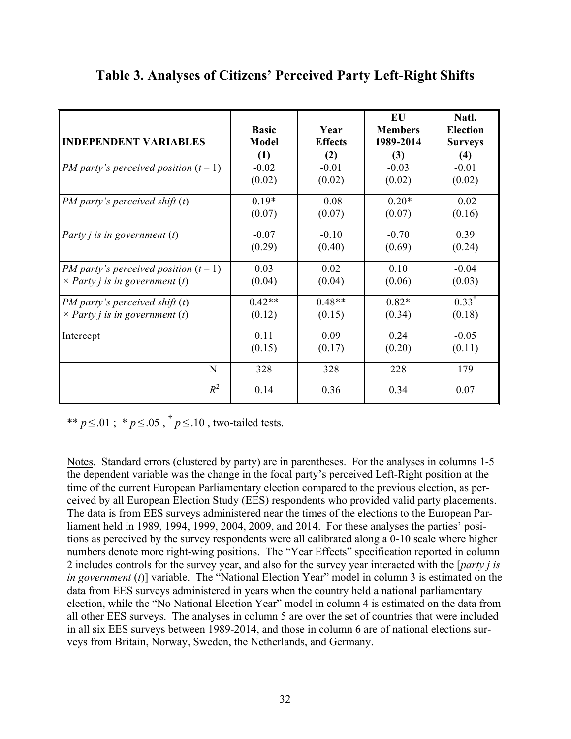|                                              | <b>Basic</b> | Year           | EU<br><b>Members</b> | Natl.<br><b>Election</b> |
|----------------------------------------------|--------------|----------------|----------------------|--------------------------|
| <b>INDEPENDENT VARIABLES</b>                 | Model        | <b>Effects</b> | 1989-2014            | <b>Surveys</b>           |
|                                              | (1)          | (2)            | (3)                  | (4)                      |
| <i>PM party's perceived position</i> $(t-1)$ | $-0.02$      | $-0.01$        | $-0.03$              | $-0.01$                  |
|                                              | (0.02)       | (0.02)         | (0.02)               | (0.02)                   |
| $PM$ party's perceived shift $(t)$           | $0.19*$      | $-0.08$        | $-0.20*$             | $-0.02$                  |
|                                              | (0.07)       | (0.07)         | (0.07)               | (0.16)                   |
| Party <i>j</i> is in government $(t)$        | $-0.07$      | $-0.10$        | $-0.70$              | 0.39                     |
|                                              | (0.29)       | (0.40)         | (0.69)               | (0.24)                   |
| <i>PM party's perceived position</i> $(t-1)$ | 0.03         | 0.02           | 0.10                 | $-0.04$                  |
| $\times$ Party j is in government (t)        | (0.04)       | (0.04)         | (0.06)               | (0.03)                   |
| $PM$ party's perceived shift $(t)$           | $0.42**$     | $0.48**$       | $0.82*$              | $0.33^{\dagger}$         |
| $\times$ Party j is in government (t)        | (0.12)       | (0.15)         | (0.34)               | (0.18)                   |
| Intercept                                    | 0.11         | 0.09           | 0,24                 | $-0.05$                  |
|                                              | (0.15)       | (0.17)         | (0.20)               | (0.11)                   |
| N                                            | 328          | 328            | 228                  | 179                      |
| $R^2$                                        | 0.14         | 0.36           | 0.34                 | 0.07                     |

# **Table 3. Analyses of Citizens' Perceived Party Left-Right Shifts**

\*\* *p* < .01 ; \* *p* < .05 ,  $\frac{1}{7}$  *p* < .10 , two-tailed tests.

Notes. Standard errors (clustered by party) are in parentheses. For the analyses in columns 1-5 the dependent variable was the change in the focal party's perceived Left-Right position at the time of the current European Parliamentary election compared to the previous election, as perceived by all European Election Study (EES) respondents who provided valid party placements. The data is from EES surveys administered near the times of the elections to the European Parliament held in 1989, 1994, 1999, 2004, 2009, and 2014. For these analyses the parties' positions as perceived by the survey respondents were all calibrated along a 0-10 scale where higher numbers denote more right-wing positions. The "Year Effects" specification reported in column 2 includes controls for the survey year, and also for the survey year interacted with the [*party j is in government* (*t*)] variable. The "National Election Year" model in column 3 is estimated on the data from EES surveys administered in years when the country held a national parliamentary election, while the "No National Election Year" model in column 4 is estimated on the data from all other EES surveys. The analyses in column 5 are over the set of countries that were included in all six EES surveys between 1989-2014, and those in column 6 are of national elections surveys from Britain, Norway, Sweden, the Netherlands, and Germany.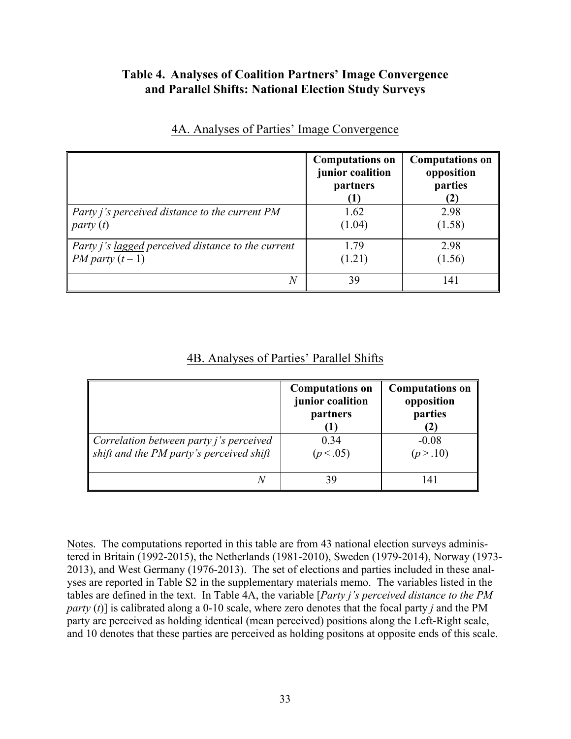### **Table 4. Analyses of Coalition Partners' Image Convergence and Parallel Shifts: National Election Study Surveys**

|                                                       | <b>Computations on</b><br>junior coalition<br>partners | <b>Computations on</b><br>opposition<br>parties<br>(2) |
|-------------------------------------------------------|--------------------------------------------------------|--------------------------------------------------------|
| Party <i>j's</i> perceived distance to the current PM | 1.62                                                   | 2.98                                                   |
| party(t)                                              | (1.04)                                                 | (1.58)                                                 |
| Party j's lagged perceived distance to the current    | 1.79                                                   | 2.98                                                   |
| <i>PM party</i> $(t-1)$                               | (1.21)                                                 | (1.56)                                                 |
| N                                                     | 39                                                     | 141                                                    |

### 4A. Analyses of Parties' Image Convergence

### 4B. Analyses of Parties' Parallel Shifts

|                                                                                            | <b>Computations on</b><br>junior coalition<br>partners | <b>Computations on</b><br>opposition<br>parties<br>$\bf(2)$ |
|--------------------------------------------------------------------------------------------|--------------------------------------------------------|-------------------------------------------------------------|
| Correlation between party <i>j's</i> perceived<br>shift and the PM party's perceived shift | 0.34<br>(p < .05)                                      | $-0.08$<br>(p > .10)                                        |
|                                                                                            | 39                                                     | 141                                                         |

Notes. The computations reported in this table are from 43 national election surveys administered in Britain (1992-2015), the Netherlands (1981-2010), Sweden (1979-2014), Norway (1973- 2013), and West Germany (1976-2013). The set of elections and parties included in these analyses are reported in Table S2 in the supplementary materials memo. The variables listed in the tables are defined in the text. In Table 4A, the variable [*Party j's perceived distance to the PM party* (*t*)] is calibrated along a 0-10 scale, where zero denotes that the focal party *j* and the PM party are perceived as holding identical (mean perceived) positions along the Left-Right scale, and 10 denotes that these parties are perceived as holding positons at opposite ends of this scale.